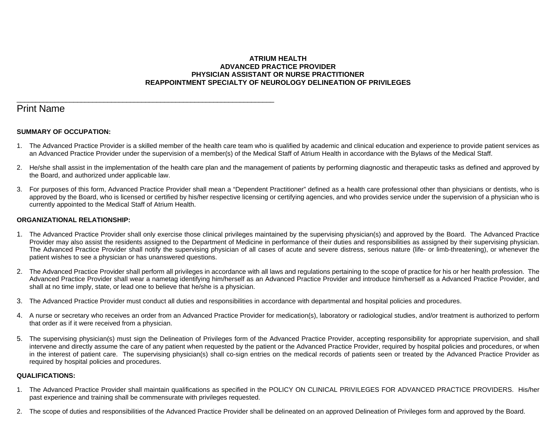## **ATRIUM HEALTH ADVANCED PRACTICE PROVIDER PHYSICIAN ASSISTANT OR NURSE PRACTITIONER REAPPOINTMENT SPECIALTY OF NEUROLOGY DELINEATION OF PRIVILEGES**

# Print Name

## **SUMMARY OF OCCUPATION:**

\_\_\_\_\_\_\_\_\_\_\_\_\_\_\_\_\_\_\_\_\_\_\_\_\_\_\_\_\_\_\_\_\_\_\_\_\_\_\_\_\_\_\_\_\_\_\_\_\_\_\_\_\_\_\_\_\_\_\_\_\_\_\_\_\_\_\_\_

- 1. The Advanced Practice Provider is a skilled member of the health care team who is qualified by academic and clinical education and experience to provide patient services as an Advanced Practice Provider under the supervision of a member(s) of the Medical Staff of Atrium Health in accordance with the Bylaws of the Medical Staff.
- 2. He/she shall assist in the implementation of the health care plan and the management of patients by performing diagnostic and therapeutic tasks as defined and approved by the Board, and authorized under applicable law.
- 3. For purposes of this form, Advanced Practice Provider shall mean a "Dependent Practitioner" defined as a health care professional other than physicians or dentists, who is approved by the Board, who is licensed or certified by his/her respective licensing or certifying agencies, and who provides service under the supervision of a physician who is currently appointed to the Medical Staff of Atrium Health.

#### **ORGANIZATIONAL RELATIONSHIP:**

- 1. The Advanced Practice Provider shall only exercise those clinical privileges maintained by the supervising physician(s) and approved by the Board. The Advanced Practice Provider may also assist the residents assigned to the Department of Medicine in performance of their duties and responsibilities as assigned by their supervising physician. The Advanced Practice Provider shall notify the supervising physician of all cases of acute and severe distress, serious nature (life- or limb-threatening), or whenever the patient wishes to see a physician or has unanswered questions.
- 2. The Advanced Practice Provider shall perform all privileges in accordance with all laws and regulations pertaining to the scope of practice for his or her health profession. The Advanced Practice Provider shall wear a nametag identifying him/herself as an Advanced Practice Provider and introduce him/herself as a Advanced Practice Provider, and shall at no time imply, state, or lead one to believe that he/she is a physician.
- 3. The Advanced Practice Provider must conduct all duties and responsibilities in accordance with departmental and hospital policies and procedures.
- 4. A nurse or secretary who receives an order from an Advanced Practice Provider for medication(s), laboratory or radiological studies, and/or treatment is authorized to perform that order as if it were received from a physician.
- 5. The supervising physician(s) must sign the Delineation of Privileges form of the Advanced Practice Provider, accepting responsibility for appropriate supervision, and shall intervene and directly assume the care of any patient when requested by the patient or the Advanced Practice Provider, required by hospital policies and procedures, or when in the interest of patient care. The supervising physician(s) shall co-sign entries on the medical records of patients seen or treated by the Advanced Practice Provider as required by hospital policies and procedures.

#### **QUALIFICATIONS:**

- 1. The Advanced Practice Provider shall maintain qualifications as specified in the POLICY ON CLINICAL PRIVILEGES FOR ADVANCED PRACTICE PROVIDERS. His/her past experience and training shall be commensurate with privileges requested.
- 2. The scope of duties and responsibilities of the Advanced Practice Provider shall be delineated on an approved Delineation of Privileges form and approved by the Board.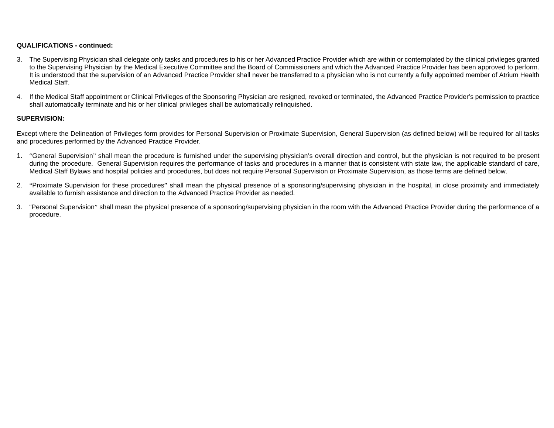#### **QUALIFICATIONS - continued:**

- 3. The Supervising Physician shall delegate only tasks and procedures to his or her Advanced Practice Provider which are within or contemplated by the clinical privileges granted to the Supervising Physician by the Medical Executive Committee and the Board of Commissioners and which the Advanced Practice Provider has been approved to perform. It is understood that the supervision of an Advanced Practice Provider shall never be transferred to a physician who is not currently a fully appointed member of Atrium Health Medical Staff.
- 4. If the Medical Staff appointment or Clinical Privileges of the Sponsoring Physician are resigned, revoked or terminated, the Advanced Practice Provider's permission to practice shall automatically terminate and his or her clinical privileges shall be automatically relinquished.

#### **SUPERVISION:**

Except where the Delineation of Privileges form provides for Personal Supervision or Proximate Supervision, General Supervision (as defined below) will be required for all tasks and procedures performed by the Advanced Practice Provider.

- 1. "General Supervision" shall mean the procedure is furnished under the supervising physician's overall direction and control, but the physician is not required to be present during the procedure. General Supervision requires the performance of tasks and procedures in a manner that is consistent with state law, the applicable standard of care, Medical Staff Bylaws and hospital policies and procedures, but does not require Personal Supervision or Proximate Supervision, as those terms are defined below.
- 2. "Proximate Supervision for these procedures" shall mean the physical presence of a sponsoring/supervising physician in the hospital, in close proximity and immediately available to furnish assistance and direction to the Advanced Practice Provider as needed.
- 3. "Personal Supervision" shall mean the physical presence of a sponsoring/supervising physician in the room with the Advanced Practice Provider during the performance of a procedure.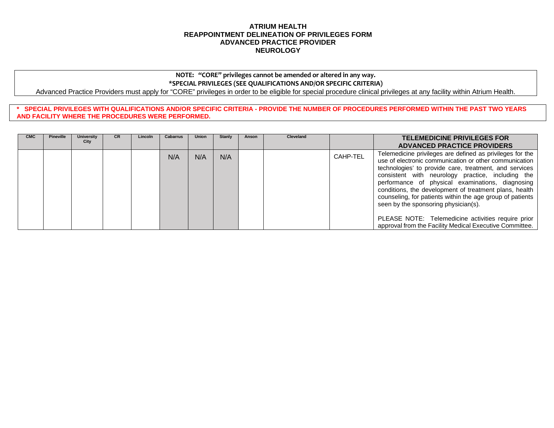#### **ATRIUM HEALTH REAPPOINTMENT DELINEATION OF PRIVILEGES FORM ADVANCED PRACTICE PROVIDER NEUROLOGY**

# **NOTE: "CORE" privileges cannot be amended or altered in any way. \*SPECIAL PRIVILEGES (SEE QUALIFICATIONS AND/OR SPECIFIC CRITERIA)**

Advanced Practice Providers must apply for "CORE" privileges in order to be eligible for special procedure clinical privileges at any facility within Atrium Health.

**\* SPECIAL PRIVILEGES WITH QUALIFICATIONS AND/OR SPECIFIC CRITERIA - PROVIDE THE NUMBER OF PROCEDURES PERFORMED WITHIN THE PAST TWO YEARS AND FACILITY WHERE THE PROCEDURES WERE PERFORMED.**

| <b>CMC</b> | <b>Pineville</b> | University<br>City | CR | Lincoln | <b>Cabarrus</b> | Union | Stanly | Anson | <b>Cleveland</b> |          | <b>TELEMEDICINE PRIVILEGES FOR</b><br><b>ADVANCED PRACTICE PROVIDERS</b>                                                                                                                                                                                                                                                                                                                                                                                                                                                                                               |
|------------|------------------|--------------------|----|---------|-----------------|-------|--------|-------|------------------|----------|------------------------------------------------------------------------------------------------------------------------------------------------------------------------------------------------------------------------------------------------------------------------------------------------------------------------------------------------------------------------------------------------------------------------------------------------------------------------------------------------------------------------------------------------------------------------|
|            |                  |                    |    |         | N/A             | N/A   | N/A    |       |                  | CAHP-TEL | Telemedicine privileges are defined as privileges for the<br>use of electronic communication or other communication<br>technologies' to provide care, treatment, and services<br>consistent with neurology practice, including the<br>performance of physical examinations, diagnosing<br>conditions, the development of treatment plans, health<br>counseling, for patients within the age group of patients<br>seen by the sponsoring physician(s).<br>PLEASE NOTE: Telemedicine activities require prior<br>approval from the Facility Medical Executive Committee. |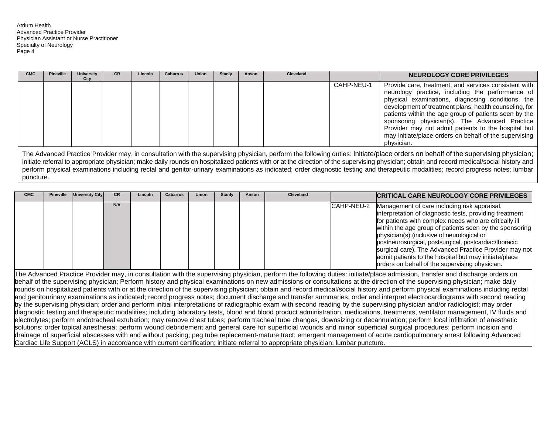Atrium Health Advanced Practice Provider Physician Assistant or Nurse Practitioner Specialty of Neurology Page 4

| <b>CMC</b> | <b>Pineville</b> | <b>University</b><br>City | CR. | Lincoln | Cabarrus | Union | Stanly | Anson | Cleveland |            | NEUROLOGY CORE PRIVILEGES                                                                                                                                                                                                                                                                                                                                                                                                                                          |
|------------|------------------|---------------------------|-----|---------|----------|-------|--------|-------|-----------|------------|--------------------------------------------------------------------------------------------------------------------------------------------------------------------------------------------------------------------------------------------------------------------------------------------------------------------------------------------------------------------------------------------------------------------------------------------------------------------|
|            |                  |                           |     |         |          |       |        |       |           | CAHP-NEU-1 | Provide care, treatment, and services consistent with<br>neurology practice, including the performance of<br>physical examinations, diagnosing conditions, the<br>development of treatment plans, health counseling, for<br>patients within the age group of patients seen by the<br>sponsoring physician(s). The Advanced Practice<br>Provider may not admit patients to the hospital but<br>may initiate/place orders on behalf of the supervising<br>physician. |
|            |                  |                           |     |         |          |       |        |       |           |            | The Asherent Barriers Barriers on the result of the communities of a control of a follower distribution between the colombial and a second community of the community of the community of the community of the community of th                                                                                                                                                                                                                                     |

The Advanced Practice Provider may, in consultation with the supervising physician, perform the following duties: Initiate/place orders on behalf of the supervising physician; initiate referral to appropriate physician; make daily rounds on hospitalized patients with or at the direction of the supervising physician; obtain and record medical/social history and perform physical examinations including rectal and genitor-urinary examinations as indicated; order diagnostic testing and therapeutic modalities; record progress notes; lumbar puncture.

| <b>CMC</b> | Pineville | <b>University City</b> | CR. | Lincoln | <b>Cabarrus</b> | Union | Stanly | Anson | <b>Cleveland</b> |            | <b>CRITICAL CARE NEUROLOGY CORE PRIVILEGES</b>                                                                                                                                                                                                                                                                                                                                                                                                                                                           |
|------------|-----------|------------------------|-----|---------|-----------------|-------|--------|-------|------------------|------------|----------------------------------------------------------------------------------------------------------------------------------------------------------------------------------------------------------------------------------------------------------------------------------------------------------------------------------------------------------------------------------------------------------------------------------------------------------------------------------------------------------|
|            |           |                        | N/A |         |                 |       |        |       |                  | CAHP-NEU-2 | Management of care including risk appraisal,<br>interpretation of diagnostic tests, providing treatment<br>for patients with complex needs who are critically ill<br>within the age group of patients seen by the sponsoring<br>physician(s) (inclusive of neurological or<br>postneurosurgical, postsurgical, postcardiac/thoracic<br>surgical care). The Advanced Practice Provider may not<br>admit patients to the hospital but may initiate/place<br>orders on behalf of the supervising physician. |

The Advanced Practice Provider may, in consultation with the supervising physician, perform the following duties: initiate/place admission, transfer and discharge orders on behalf of the supervising physician; Perform history and physical examinations on new admissions or consultations at the direction of the supervising physician; make daily rounds on hospitalized patients with or at the direction of the supervising physician; obtain and record medical/social history and perform physical examinations including rectal and genitourinary examinations as indicated; record progress notes; document discharge and transfer summaries; order and interpret electrocardiograms with second reading by the supervising physician; order and perform initial interpretations of radiographic exam with second reading by the supervising physician and/or radiologist; may order diagnostic testing and therapeutic modalities; including laboratory tests, blood and blood product administration, medications, treatments, ventilator management, IV fluids and electrolytes; perform endotracheal extubation; may remove chest tubes; perform tracheal tube changes, downsizing or decannulation; perform local infiltration of anesthetic solutions; order topical anesthesia; perform wound debridement and general care for superficial wounds and minor superficial surgical procedures; perform incision and drainage of superficial abscesses with and without packing; peg tube replacement-mature tract; emergent management of acute cardiopulmonary arrest following Advanced Cardiac Life Support (ACLS) in accordance with current certification; initiate referral to appropriate physician; lumbar puncture.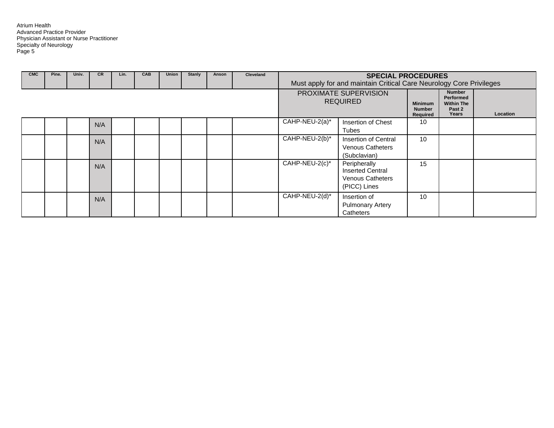| <b>CMC</b> | Pine. | Univ. | <b>CR</b> | Lin. | <b>CAB</b> | Union | <b>Stanly</b> | Anson | Cleveland | <b>SPECIAL PROCEDURES</b><br>Must apply for and maintain Critical Care Neurology Core Privileges |                                                                                    |                                                    |                                                                    |          |
|------------|-------|-------|-----------|------|------------|-------|---------------|-------|-----------|--------------------------------------------------------------------------------------------------|------------------------------------------------------------------------------------|----------------------------------------------------|--------------------------------------------------------------------|----------|
|            |       |       |           |      |            |       |               |       |           |                                                                                                  | PROXIMATE SUPERVISION<br><b>REQUIRED</b>                                           | <b>Minimum</b><br><b>Number</b><br><b>Required</b> | <b>Number</b><br>Performed<br><b>Within The</b><br>Past 2<br>Years | Location |
|            |       |       | N/A       |      |            |       |               |       |           | CAHP-NEU-2(a)*                                                                                   | Insertion of Chest<br>Tubes                                                        | 10                                                 |                                                                    |          |
|            |       |       | N/A       |      |            |       |               |       |           | CAHP-NEU-2(b)*                                                                                   | Insertion of Central<br><b>Venous Catheters</b><br>(Subclavian)                    | 10                                                 |                                                                    |          |
|            |       |       | N/A       |      |            |       |               |       |           | CAHP-NEU-2(c)*                                                                                   | Peripherally<br><b>Inserted Central</b><br><b>Venous Catheters</b><br>(PICC) Lines | 15                                                 |                                                                    |          |
|            |       |       | N/A       |      |            |       |               |       |           | CAHP-NEU-2(d)*                                                                                   | Insertion of<br><b>Pulmonary Artery</b><br>Catheters                               | 10                                                 |                                                                    |          |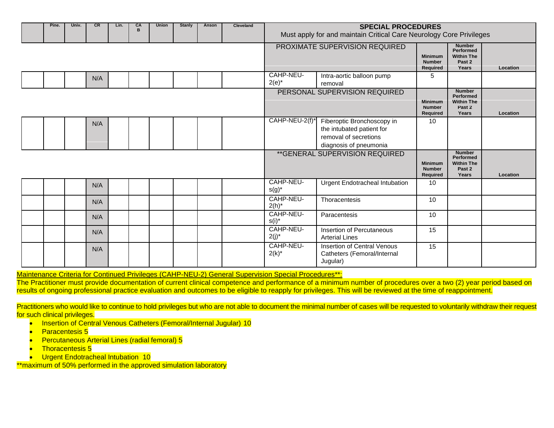| Pine. | Univ. | <b>CR</b> | Lin. | CA<br>B | <b>Union</b> | Stanly | Anson | Cleveland | <b>SPECIAL PROCEDURES</b><br>Must apply for and maintain Critical Care Neurology Core Privileges |                                                                                                            |                                                    |                                                                           |          |
|-------|-------|-----------|------|---------|--------------|--------|-------|-----------|--------------------------------------------------------------------------------------------------|------------------------------------------------------------------------------------------------------------|----------------------------------------------------|---------------------------------------------------------------------------|----------|
|       |       |           |      |         |              |        |       |           |                                                                                                  | PROXIMATE SUPERVISION REQUIRED                                                                             | <b>Minimum</b><br><b>Number</b><br><b>Required</b> | <b>Number</b><br><b>Performed</b><br><b>Within The</b><br>Past 2<br>Years | Location |
|       |       | N/A       |      |         |              |        |       |           | CAHP-NEU-<br>$2(e)^*$                                                                            | Intra-aortic balloon pump<br>removal                                                                       | 5                                                  |                                                                           |          |
|       |       |           |      |         |              |        |       |           |                                                                                                  | PERSONAL SUPERVISION REQUIRED                                                                              | <b>Minimum</b><br><b>Number</b><br><b>Required</b> | <b>Number</b><br><b>Performed</b><br><b>Within The</b><br>Past 2<br>Years | Location |
|       |       | N/A       |      |         |              |        |       |           | CAHP-NEU-2(f)*                                                                                   | Fiberoptic Bronchoscopy in<br>the intubated patient for<br>removal of secretions<br>diagnosis of pneumonia | 10                                                 |                                                                           |          |
|       |       |           |      |         |              |        |       |           |                                                                                                  | **GENERAL SUPERVISION REQUIRED                                                                             | <b>Minimum</b><br><b>Number</b><br><b>Required</b> | <b>Number</b><br>Performed<br><b>Within The</b><br>Past 2<br>Years        | Location |
|       |       | N/A       |      |         |              |        |       |           | CAHP-NEU-<br>$s(g)^*$                                                                            | Urgent Endotracheal Intubation                                                                             | 10                                                 |                                                                           |          |
|       |       | N/A       |      |         |              |        |       |           | CAHP-NEU-<br>$2(h)^*$                                                                            | Thoracentesis                                                                                              | 10                                                 |                                                                           |          |
|       |       | N/A       |      |         |              |        |       |           | CAHP-NEU-<br>$s(i)^*$                                                                            | Paracentesis                                                                                               | 10                                                 |                                                                           |          |
|       |       | N/A       |      |         |              |        |       |           | CAHP-NEU-<br>$2(j)^*$                                                                            | Insertion of Percutaneous<br><b>Arterial Lines</b>                                                         | 15                                                 |                                                                           |          |
|       |       | N/A       |      |         |              |        |       |           | CAHP-NEU-<br>$2(k)^{*}$                                                                          | <b>Insertion of Central Venous</b><br>Catheters (Femoral/Internal<br>Jugular)                              | 15                                                 |                                                                           |          |

Maintenance Criteria for Continued Privileges (CAHP-NEU-2) General Supervision Special Procedures\*\*:

The Practitioner must provide documentation of current clinical competence and performance of a minimum number of procedures over a two (2) year period based on results of ongoing professional practice evaluation and outcomes to be eligible to reapply for privileges. This will be reviewed at the time of reappointment.

Practitioners who would like to continue to hold privileges but who are not able to document the minimal number of cases will be requested to voluntarily withdraw their request for such clinical privileges.

- Insertion of Central Venous Catheters (Femoral/Internal Jugular) 10
- Paracentesis 5
- Percutaneous Arterial Lines (radial femoral) 5
- Thoracentesis 5
- **•** Urgent Endotracheal Intubation 10

\*\*maximum of 50% performed in the approved simulation laboratory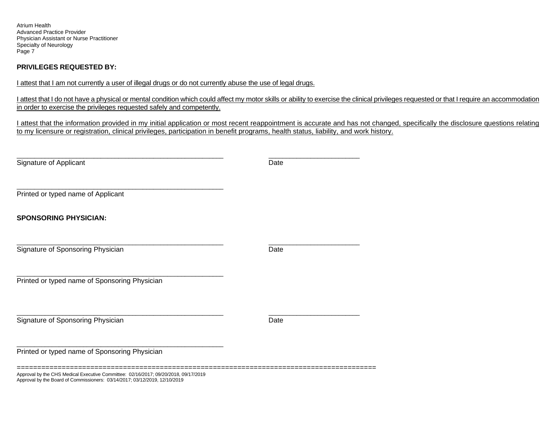Atrium Health Advanced Practice Provider Physician Assistant or Nurse Practitioner Specialty of Neurology Page 7

#### **PRIVILEGES REQUESTED BY:**

I attest that I am not currently a user of illegal drugs or do not currently abuse the use of legal drugs.

I attest that I do not have a physical or mental condition which could affect my motor skills or ability to exercise the clinical privileges requested or that I require an accommodation in order to exercise the privileges requested safely and competently.

I attest that the information provided in my initial application or most recent reappointment is accurate and has not changed, specifically the disclosure questions relating to my licensure or registration, clinical privileges, participation in benefit programs, health status, liability, and work history.

| Signature of Applicant                        | Date |  |
|-----------------------------------------------|------|--|
| Printed or typed name of Applicant            |      |  |
| <b>SPONSORING PHYSICIAN:</b>                  |      |  |
| Signature of Sponsoring Physician             | Date |  |
| Printed or typed name of Sponsoring Physician |      |  |
| Signature of Sponsoring Physician             | Date |  |
| Printed or typed name of Sponsoring Physician |      |  |
|                                               |      |  |

Approval by the CHS Medical Executive Committee: 02/16/2017; 09/20/2018, 09/17/2019 Approval by the Board of Commissioners: 03/14/2017; 03/12/2019, 12/10/2019